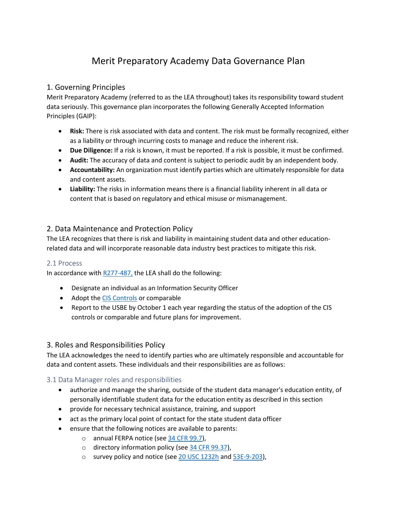# Merit Preparatory Academy Data Governance Plan

# 1. Governing Principles

Merit Preparatory Academy (referred to as the LEA throughout) takes its responsibility toward student data seriously. This governance plan incorporates the following Generally Accepted Information Principles (GAIP):

- **Risk:** There is risk associated with data and content. The risk must be formally recognized, either as a liability or through incurring costs to manage and reduce the inherent risk.
- **Due Diligence:** If a risk is known, it must be reported. If a risk is possible, it must be confirmed.
- **Audit:** The accuracy of data and content is subject to periodic audit by an independent body.
- **Accountability:** An organization must identify parties which are ultimately responsible for data and content assets.
- **Liability:** The risks in information means there is a financial liability inherent in all data or content that is based on regulatory and ethical misuse or mismanagement.

# 2. Data Maintenance and Protection Policy

The LEA recognizes that there is risk and liability in maintaining student data and other educationrelated data and will incorporate reasonable data industry best practices to mitigate this risk.

## 2.1 Process

In accordance with  $R277-487$ , the LEA shall do the following:

- Designate an individual as an Information Security Officer
- Adopt th[e CIS Controls](https://www.cisecurity.org/controls/) or comparable
- Report to the USBE by October 1 each year regarding the status of the adoption of the CIS controls or comparable and future plans for improvement.

## 3. Roles and Responsibilities Policy

The LEA acknowledges the need to identify parties who are ultimately responsible and accountable for data and content assets. These individuals and their responsibilities are as follows:

## 3.1 Data Manager roles and responsibilities

- authorize and manage the sharing, outside of the student data manager's education entity, of personally identifiable student data for the education entity as described in this section
- provide for necessary technical assistance, training, and support
- act as the primary local point of contact for the state student data officer
- ensure that the following notices are available to parents:
	- o annual FERPA notice (see [34 CFR 99.7\)](https://www.law.cornell.edu/cfr/text/34/99.7),
	- o directory information policy (see  $\frac{34}{16}$  CFR 99.37),
	- o survey policy and notice (see [20 USC 1232h](https://www.law.cornell.edu/uscode/text/20/1232h) an[d 53E-9-203\)](https://le.utah.gov/xcode/Title53E/Chapter9/53E-9-S203.html?v=C53E-9-S203_2018012420180124),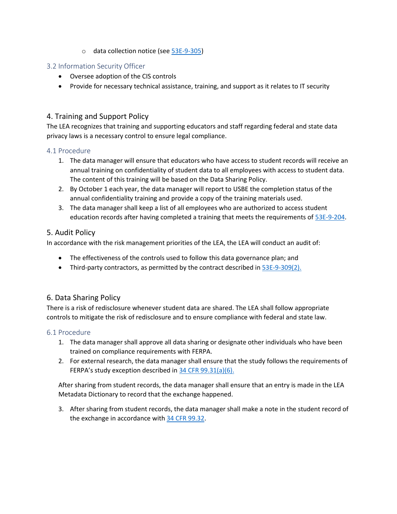o data collection notice (se[e 53E-9-305\)](https://le.utah.gov/xcode/Title53E/Chapter9/53E-9-S305.html?v=C53E-9-S305_2018050820180508)

## 3.2 Information Security Officer

- Oversee adoption of the CIS controls
- Provide for necessary technical assistance, training, and support as it relates to IT security

# 4. Training and Support Policy

The LEA recognizes that training and supporting educators and staff regarding federal and state data privacy laws is a necessary control to ensure legal compliance.

#### 4.1 Procedure

- 1. The data manager will ensure that educators who have access to student records will receive an annual training on confidentiality of student data to all employees with access to student data. The content of this training will be based on the Data Sharing Policy.
- 2. By October 1 each year, the data manager will report to USBE the completion status of the annual confidentiality training and provide a copy of the training materials used.
- 3. The data manager shall keep a list of all employees who are authorized to access student education records after having completed a training that meets the requirements of [53E-9-204.](https://le.utah.gov/xcode/Title53E/Chapter9/53E-9-S204.html)

## 5. Audit Policy

In accordance with the risk management priorities of the LEA, the LEA will conduct an audit of:

- The effectiveness of the controls used to follow this data governance plan; and
- Third-party contractors, as permitted by the contract described in  $53E-9-309(2)$ .

## 6. Data Sharing Policy

There is a risk of redisclosure whenever student data are shared. The LEA shall follow appropriate controls to mitigate the risk of redisclosure and to ensure compliance with federal and state law.

#### 6.1 Procedure

- 1. The data manager shall approve all data sharing or designate other individuals who have been trained on compliance requirements with FERPA.
- 2. For external research, the data manager shall ensure that the study follows the requirements of FERPA's study exception described in [34 CFR 99.31\(a\)\(6\).](https://www.law.cornell.edu/cfr/text/34/99.31)

After sharing from student records, the data manager shall ensure that an entry is made in the LEA Metadata Dictionary to record that the exchange happened.

3. After sharing from student records, the data manager shall make a note in the student record of the exchange in accordance with [34 CFR 99.32.](https://www.law.cornell.edu/cfr/text/34/99.32)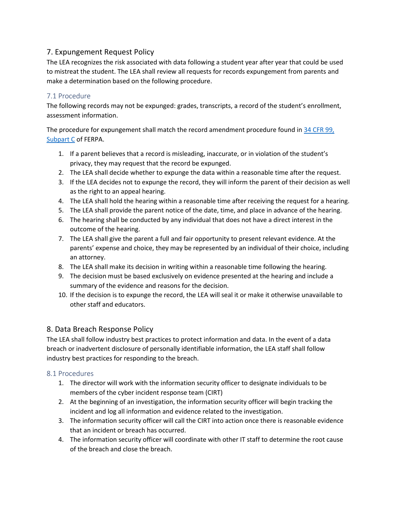# 7. Expungement Request Policy

The LEA recognizes the risk associated with data following a student year after year that could be used to mistreat the student. The LEA shall review all requests for records expungement from parents and make a determination based on the following procedure.

# 7.1 Procedure

The following records may not be expunged: grades, transcripts, a record of the student's enrollment, assessment information.

The procedure for expungement shall match the record amendment procedure found i[n 34 CFR 99,](https://www.law.cornell.edu/cfr/text/34/part-99/subpart-C)  [Subpart C](https://www.law.cornell.edu/cfr/text/34/part-99/subpart-C) of FERPA.

- 1. If a parent believes that a record is misleading, inaccurate, or in violation of the student's privacy, they may request that the record be expunged.
- 2. The LEA shall decide whether to expunge the data within a reasonable time after the request.
- 3. If the LEA decides not to expunge the record, they will inform the parent of their decision as well as the right to an appeal hearing.
- 4. The LEA shall hold the hearing within a reasonable time after receiving the request for a hearing.
- 5. The LEA shall provide the parent notice of the date, time, and place in advance of the hearing.
- 6. The hearing shall be conducted by any individual that does not have a direct interest in the outcome of the hearing.
- 7. The LEA shall give the parent a full and fair opportunity to present relevant evidence. At the parents' expense and choice, they may be represented by an individual of their choice, including an attorney.
- 8. The LEA shall make its decision in writing within a reasonable time following the hearing.
- 9. The decision must be based exclusively on evidence presented at the hearing and include a summary of the evidence and reasons for the decision.
- 10. If the decision is to expunge the record, the LEA will seal it or make it otherwise unavailable to other staff and educators.

# 8. Data Breach Response Policy

The LEA shall follow industry best practices to protect information and data. In the event of a data breach or inadvertent disclosure of personally identifiable information, the LEA staff shall follow industry best practices for responding to the breach.

# 8.1 Procedures

- 1. The director will work with the information security officer to designate individuals to be members of the cyber incident response team (CIRT)
- 2. At the beginning of an investigation, the information security officer will begin tracking the incident and log all information and evidence related to the investigation.
- 3. The information security officer will call the CIRT into action once there is reasonable evidence that an incident or breach has occurred.
- 4. The information security officer will coordinate with other IT staff to determine the root cause of the breach and close the breach.